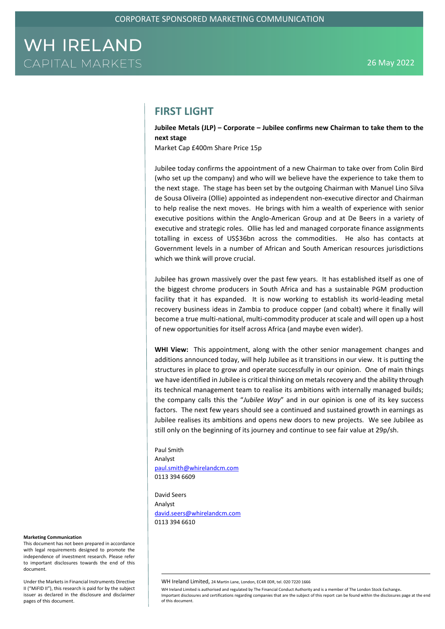## **FIRST LIGHT**

**Jubilee Metals (JLP) – Corporate – Jubilee confirms new Chairman to take them to the next stage**

Market Cap £400m Share Price 15p

Jubilee today confirms the appointment of a new Chairman to take over from Colin Bird (who set up the company) and who will we believe have the experience to take them to the next stage. The stage has been set by the outgoing Chairman with Manuel Lino Silva de Sousa Oliveira (Ollie) appointed as independent non-executive director and Chairman to help realise the next moves. He brings with him a wealth of experience with senior executive positions within the Anglo-American Group and at De Beers in a variety of executive and strategic roles. Ollie has led and managed corporate finance assignments totalling in excess of US\$36bn across the commodities. He also has contacts at Government levels in a number of African and South American resources jurisdictions which we think will prove crucial.

Jubilee has grown massively over the past few years. It has established itself as one of the biggest chrome producers in South Africa and has a sustainable PGM production facility that it has expanded. It is now working to establish its world-leading metal recovery business ideas in Zambia to produce copper (and cobalt) where it finally will become a true multi-national, multi-commodity producer at scale and will open up a host of new opportunities for itself across Africa (and maybe even wider).

**WHI View:** This appointment, along with the other senior management changes and additions announced today, will help Jubilee as it transitions in our view. It is putting the structures in place to grow and operate successfully in our opinion. One of main things we have identified in Jubilee is critical thinking on metals recovery and the ability through its technical management team to realise its ambitions with internally managed builds; the company calls this the "*Jubilee Way*" and in our opinion is one of its key success factors. The next few years should see a continued and sustained growth in earnings as Jubilee realises its ambitions and opens new doors to new projects. We see Jubilee as still only on the beginning of its journey and continue to see fair value at 29p/sh.

Paul Smith Analyst [paul.smith@whirelandcm.com](mailto:paul.smith@whirelandcm.com) 0113 394 6609

David Seers Analyst [david.seers@whirelandcm.com](mailto:david.seers@whirelandcm.com) 0113 394 6610

#### **Marketing Communication**

This document has not been prepared in accordance with legal requirements designed to promote the independence of investment research. Please refer to important disclosures towards the end of this document.

Under the Markets in Financial Instruments Directive II ("MiFID II"), this research is paid for by the subject issuer as declared in the disclosure and disclaimer pages of this document.

WH Ireland Limited, 24 Martin Lane, London, EC4R 0DR, tel. 020 7220 1666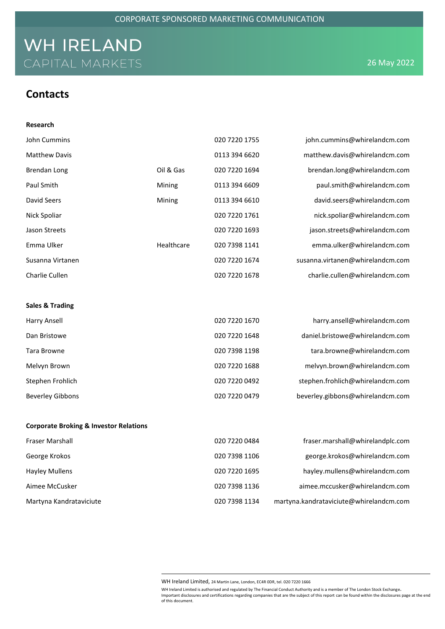## **Contacts**

| Research                                          |            |               |                                  |
|---------------------------------------------------|------------|---------------|----------------------------------|
| John Cummins                                      |            | 020 7220 1755 | john.cummins@whirelandcm.com     |
| <b>Matthew Davis</b>                              |            | 0113 394 6620 | matthew.davis@whirelandcm.com    |
| <b>Brendan Long</b>                               | Oil & Gas  | 020 7220 1694 | brendan.long@whirelandcm.com     |
| Paul Smith                                        | Mining     | 0113 394 6609 | paul.smith@whirelandcm.com       |
| David Seers                                       | Mining     | 0113 394 6610 | david.seers@whirelandcm.com      |
| Nick Spoliar                                      |            | 020 7220 1761 | nick.spoliar@whirelandcm.com     |
| Jason Streets                                     |            | 020 7220 1693 | jason.streets@whirelandcm.com    |
| Emma Ulker                                        | Healthcare | 020 7398 1141 | emma.ulker@whirelandcm.com       |
| Susanna Virtanen                                  |            | 020 7220 1674 | susanna.virtanen@whirelandcm.com |
| Charlie Cullen                                    |            | 020 7220 1678 | charlie.cullen@whirelandcm.com   |
|                                                   |            |               |                                  |
| <b>Sales &amp; Trading</b>                        |            |               |                                  |
| <b>Harry Ansell</b>                               |            | 020 7220 1670 | harry.ansell@whirelandcm.com     |
| Dan Bristowe                                      |            | 020 7220 1648 | daniel.bristowe@whirelandcm.com  |
| Tara Browne                                       |            | 020 7398 1198 | tara.browne@whirelandcm.com      |
| Melvyn Brown                                      |            | 020 7220 1688 | melvyn.brown@whirelandcm.com     |
| Stephen Frohlich                                  |            | 020 7220 0492 | stephen.frohlich@whirelandcm.com |
| <b>Beverley Gibbons</b>                           |            | 020 7220 0479 | beverley.gibbons@whirelandcm.com |
|                                                   |            |               |                                  |
| <b>Corporate Broking &amp; Investor Relations</b> |            |               |                                  |
| Fraser Marshall                                   |            | 020 7220 0484 | fraser.marshall@whirelandplc.com |
| George Krokos                                     |            | 020 7398 1106 | george.krokos@whirelandcm.com    |
| <b>Hayley Mullens</b>                             |            | 020 7220 1695 | hayley.mullens@whirelandcm.com   |
| Aimee McCusker                                    |            | 020 7398 1136 | aimee.mccusker@whirelandcm.com   |

WH Ireland Limited, 24 Martin Lane, London, EC4R 0DR, tel. 020 7220 1666

Martyna Kandrataviciute 020 7398 1134 martyna.kandrataviciute@whirelandcm.com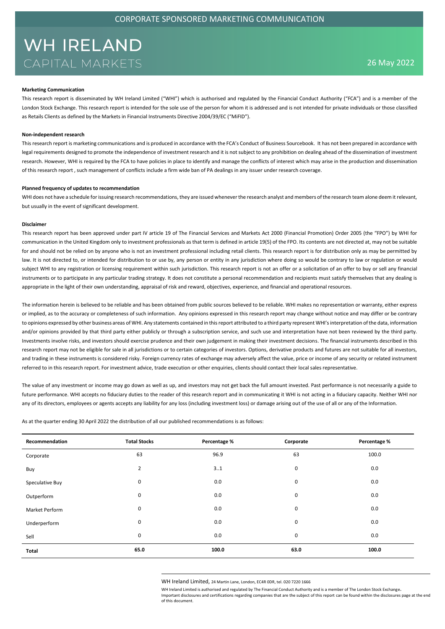#### **Marketing Communication**

This research report is disseminated by WH Ireland Limited ("WHI") which is authorised and regulated by the Financial Conduct Authority ("FCA") and is a member of the London Stock Exchange. This research report is intended for the sole use of the person for whom it is addressed and is not intended for private individuals or those classified as Retails Clients as defined by the Markets in Financial Instruments Directive 2004/39/EC ("MiFID").

### **Non-independent research**

This research report is marketing communications and is produced in accordance with the FCA's Conduct of Business Sourcebook. It has not been prepared in accordance with legal requirements designed to promote the independence of investment research and it is not subject to any prohibition on dealing ahead of the dissemination of investment research. However, WHI is required by the FCA to have policies in place to identify and manage the conflicts of interest which may arise in the production and dissemination of this research report , such management of conflicts include a firm wide ban of PA dealings in any issuer under research coverage.

#### **Planned frequency of updates to recommendation**

WHI does not have a schedule for issuing research recommendations, they are issued whenever the research analyst and members of the research team alone deem it relevant, but usually in the event of significant development.

### **Disclaimer**

This research report has been approved under part IV article 19 of The Financial Services and Markets Act 2000 (Financial Promotion) Order 2005 (the "FPO") by WHI for communication in the United Kingdom only to investment professionals as that term is defined in article 19(5) of the FPO. Its contents are not directed at, may not be suitable for and should not be relied on by anyone who is not an investment professional including retail clients. This research report is for distribution only as may be permitted by law. It is not directed to, or intended for distribution to or use by, any person or entity in any jurisdiction where doing so would be contrary to law or regulation or would subject WHI to any registration or licensing requirement within such jurisdiction. This research report is not an offer or a solicitation of an offer to buy or sell any financial instruments or to participate in any particular trading strategy. It does not constitute a personal recommendation and recipients must satisfy themselves that any dealing is appropriate in the light of their own understanding, appraisal of risk and reward, objectives, experience, and financial and operational resources.

The information herein is believed to be reliable and has been obtained from public sources believed to be reliable. WHI makes no representation or warranty, either express or implied, as to the accuracy or completeness of such information. Any opinions expressed in this research report may change without notice and may differ or be contrary to opinions expressed by other business areas of WHI. Any statements contained in this report attributed to a third party represent WHI's interpretation of the data, information and/or opinions provided by that third party either publicly or through a subscription service, and such use and interpretation have not been reviewed by the third party. Investments involve risks, and investors should exercise prudence and their own judgement in making their investment decisions. The financial instruments described in this research report may not be eligible for sale in all jurisdictions or to certain categories of investors. Options, derivative products and futures are not suitable for all investors, and trading in these instruments is considered risky. Foreign currency rates of exchange may adversely affect the value, price or income of any security or related instrument referred to in this research report. For investment advice, trade execution or other enquiries, clients should contact their local sales representative.

The value of any investment or income may go down as well as up, and investors may not get back the full amount invested. Past performance is not necessarily a guide to future performance. WHI accepts no fiduciary duties to the reader of this research report and in communicating it WHI is not acting in a fiduciary capacity. Neither WHI nor any of its directors, employees or agents accepts any liability for any loss (including investment loss) or damage arising out of the use of all or any of the Information.

As at the quarter ending 30 April 2022 the distribution of all our published recommendations is as follows:

| Recommendation        | <b>Total Stocks</b> | Percentage % | Corporate | Percentage % |
|-----------------------|---------------------|--------------|-----------|--------------|
| Corporate             | 63                  | 96.9         | 63        | 100.0        |
| Buy                   | $\overline{2}$      | 31           | 0         | 0.0          |
| Speculative Buy       | 0                   | 0.0          | 0         | 0.0          |
| Outperform            | 0                   | 0.0          | 0         | 0.0          |
| <b>Market Perform</b> | 0                   | 0.0          | 0         | 0.0          |
| Underperform          | 0                   | 0.0          | 0         | 0.0          |
| Sell                  | 0                   | 0.0          | 0         | 0.0          |
| Total                 | 65.0                | 100.0        | 63.0      | 100.0        |

WH Ireland Limited, 24 Martin Lane, London, EC4R 0DR, tel. 020 7220 1666